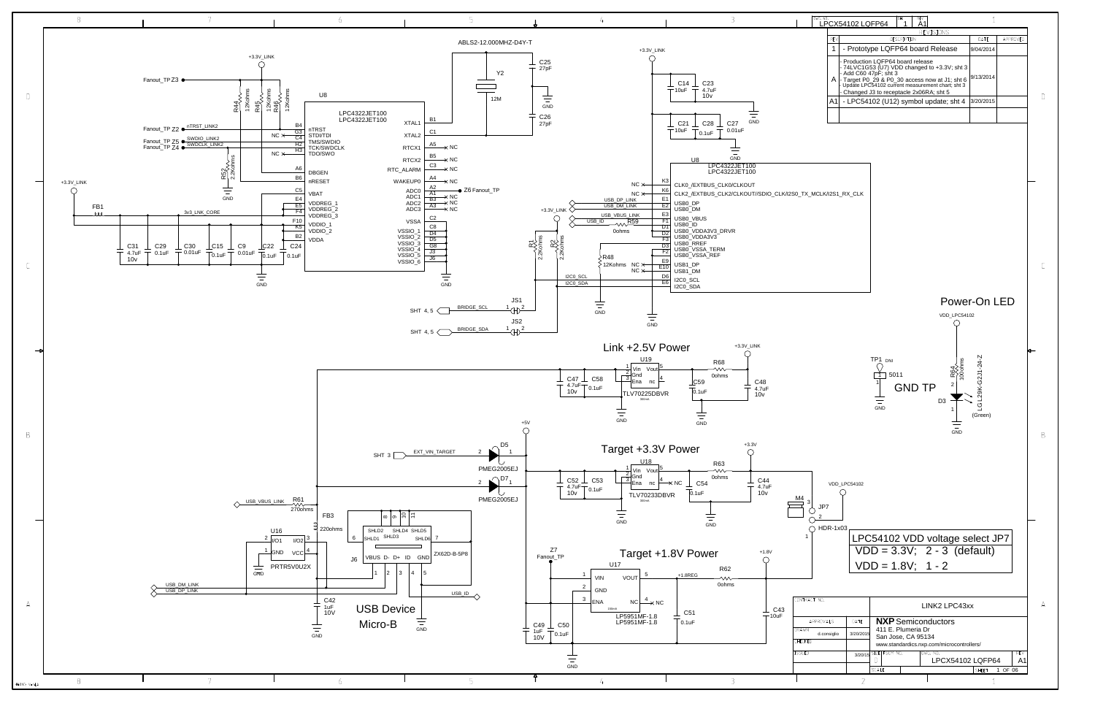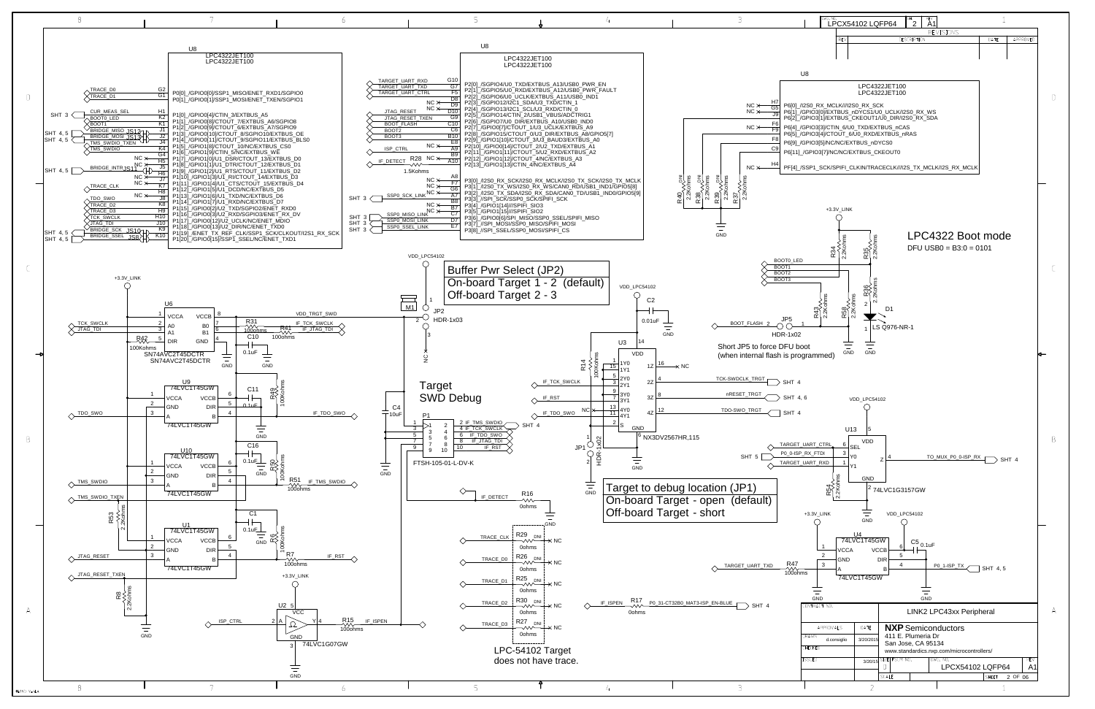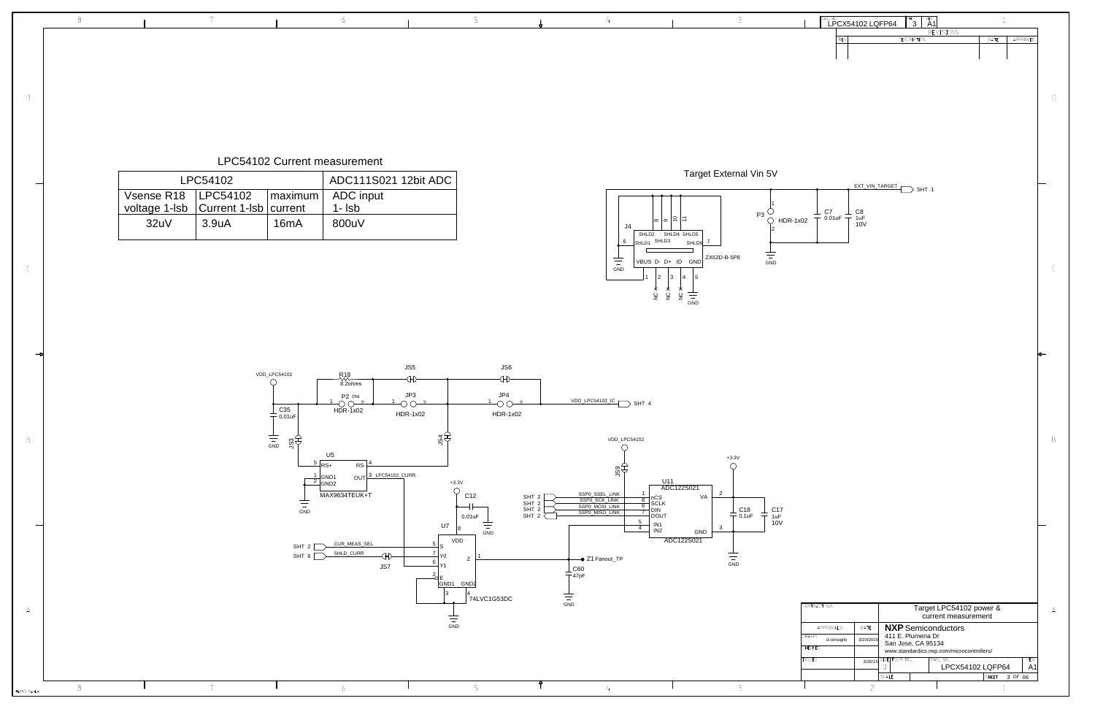



 $\hbox{\ensuremath{\mathbb C}}$ 

 $B$ 

 $A$ 

 $H=8ND; V=4LA$ 

 $8$ 

| Vsense R18   LPC54102<br>ADC input<br>∣maximum ∣<br>voltage 1-lsb   Current 1-lsb   current<br>$1 -$ Isb<br>32uV<br>800uV<br>3.9uA<br>16mA |
|--------------------------------------------------------------------------------------------------------------------------------------------|
|                                                                                                                                            |
|                                                                                                                                            |
|                                                                                                                                            |
|                                                                                                                                            |

|             | DCKA102                      | ADC111S02112biiADC |  | Target External Vin 5V |  |
|-------------|------------------------------|--------------------|--|------------------------|--|
|             | LPC54102 Current measurement |                    |  |                        |  |
| $\mathbb D$ |                              |                    |  |                        |  |
|             |                              |                    |  |                        |  |
|             |                              |                    |  |                        |  |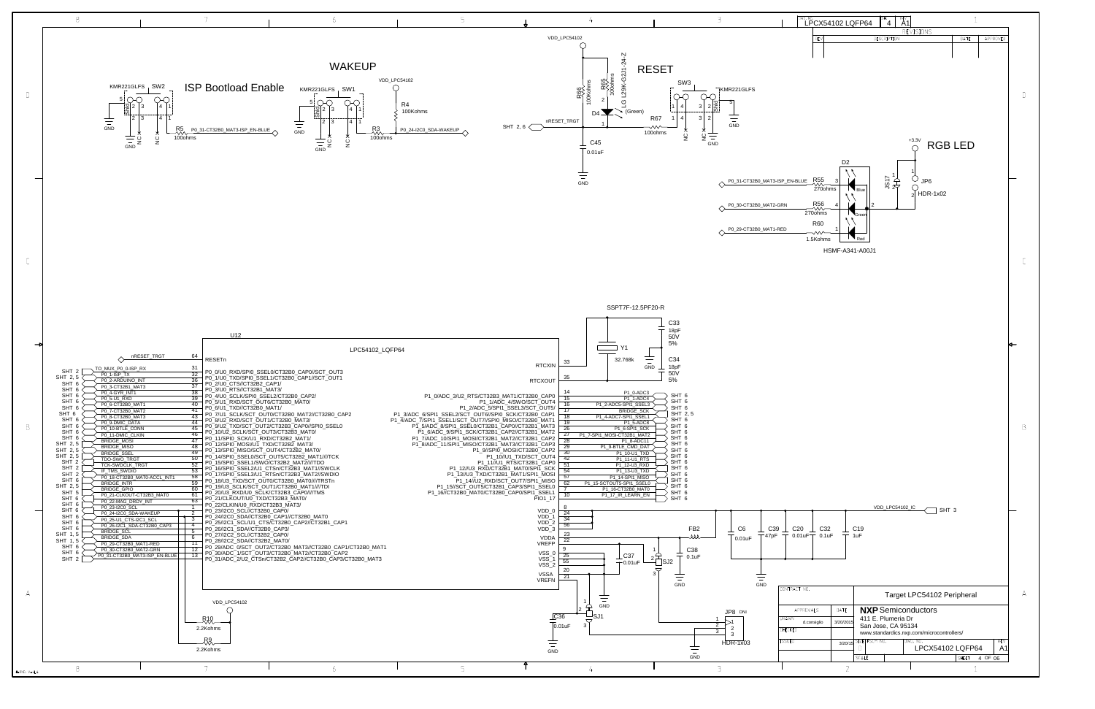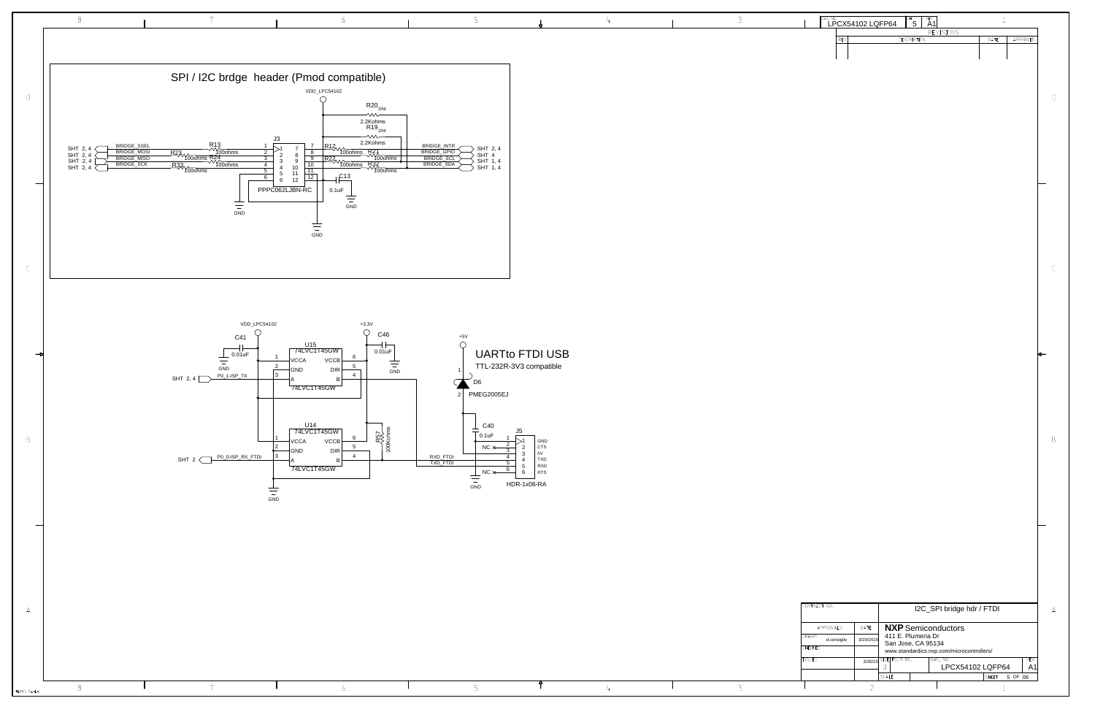|                          | DIVE NO.<br>LPCX54102 LQFP64 |                |                                          | SH.<br>5    | $REV$ <sub>A1</sub> |                                           | $1\,$                     |                |                                 |  |
|--------------------------|------------------------------|----------------|------------------------------------------|-------------|---------------------|-------------------------------------------|---------------------------|----------------|---------------------------------|--|
|                          | <b>REV</b>                   |                |                                          | DESCRIPTION |                     | REVISIONS                                 | DATE                      | APPROVED       |                                 |  |
|                          |                              |                |                                          |             |                     |                                           |                           |                |                                 |  |
|                          |                              |                |                                          |             |                     |                                           |                           |                |                                 |  |
|                          |                              |                |                                          |             |                     |                                           |                           |                |                                 |  |
|                          |                              |                |                                          |             |                     |                                           |                           |                |                                 |  |
|                          |                              |                |                                          |             |                     |                                           |                           |                | $\hfill\ensuremath{\mathsf{D}}$ |  |
|                          |                              |                |                                          |             |                     |                                           |                           |                |                                 |  |
|                          |                              |                |                                          |             |                     |                                           |                           |                |                                 |  |
|                          |                              |                |                                          |             |                     |                                           |                           |                |                                 |  |
|                          |                              |                |                                          |             |                     |                                           |                           |                |                                 |  |
|                          |                              |                |                                          |             |                     |                                           |                           |                |                                 |  |
|                          |                              |                |                                          |             |                     |                                           |                           |                |                                 |  |
|                          |                              |                |                                          |             |                     |                                           |                           |                |                                 |  |
|                          |                              |                |                                          |             |                     |                                           |                           |                |                                 |  |
|                          |                              |                |                                          |             |                     |                                           |                           |                |                                 |  |
|                          |                              |                |                                          |             |                     |                                           |                           |                |                                 |  |
|                          |                              |                |                                          |             |                     |                                           |                           |                |                                 |  |
|                          |                              |                |                                          |             |                     |                                           |                           |                | $\mathsf C$                     |  |
|                          |                              |                |                                          |             |                     |                                           |                           |                |                                 |  |
|                          |                              |                |                                          |             |                     |                                           |                           |                |                                 |  |
|                          |                              |                |                                          |             |                     |                                           |                           |                |                                 |  |
|                          |                              |                |                                          |             |                     |                                           |                           |                |                                 |  |
|                          |                              |                |                                          |             |                     |                                           |                           |                |                                 |  |
|                          |                              |                |                                          |             |                     |                                           |                           |                |                                 |  |
|                          |                              |                |                                          |             |                     |                                           |                           |                |                                 |  |
|                          |                              |                |                                          |             |                     |                                           |                           |                |                                 |  |
|                          |                              |                |                                          |             |                     |                                           |                           |                |                                 |  |
|                          |                              |                |                                          |             |                     |                                           |                           |                |                                 |  |
|                          |                              |                |                                          |             |                     |                                           |                           |                |                                 |  |
|                          |                              |                |                                          |             |                     |                                           |                           |                |                                 |  |
|                          |                              |                |                                          |             |                     |                                           |                           |                | $\mathsf B$                     |  |
|                          |                              |                |                                          |             |                     |                                           |                           |                |                                 |  |
|                          |                              |                |                                          |             |                     |                                           |                           |                |                                 |  |
|                          |                              |                |                                          |             |                     |                                           |                           |                |                                 |  |
|                          |                              |                |                                          |             |                     |                                           |                           |                |                                 |  |
|                          |                              |                |                                          |             |                     |                                           |                           |                |                                 |  |
|                          |                              |                |                                          |             |                     |                                           |                           |                |                                 |  |
|                          |                              |                |                                          |             |                     |                                           |                           |                |                                 |  |
|                          |                              |                |                                          |             |                     |                                           |                           |                |                                 |  |
|                          |                              |                |                                          |             |                     |                                           |                           |                |                                 |  |
|                          |                              |                |                                          |             |                     |                                           |                           |                |                                 |  |
|                          |                              |                |                                          |             |                     |                                           |                           |                |                                 |  |
| CONTRACT NO.             |                              |                |                                          |             |                     |                                           |                           |                |                                 |  |
|                          |                              |                |                                          |             |                     |                                           | I2C_SPI bridge hdr / FTDI |                | А                               |  |
|                          | APPROVALS                    | DATE           | <b>NXP</b> Semiconductors                |             |                     |                                           |                           |                |                                 |  |
| DRAWN                    | d.consiglio                  | 3/20/2015      | 411 E. Plumeria Dr<br>San Jose, CA 95134 |             |                     |                                           |                           |                |                                 |  |
| CHECKED<br><b>ISSUED</b> |                              |                | 3/20/15 SIZE FSCM NO.                    |             | DWG. NO.            | www.standardics.nxp.com/microcontrollers/ |                           | REV            |                                 |  |
|                          |                              |                | D                                        |             |                     |                                           | LPCX54102 LQFP64          | A <sub>1</sub> |                                 |  |
| T                        |                              |                | SCALE                                    |             |                     |                                           | SHEET                     | 5 OF 06        |                                 |  |
|                          |                              | $\overline{2}$ |                                          |             |                     |                                           | $\,1\,$                   |                |                                 |  |